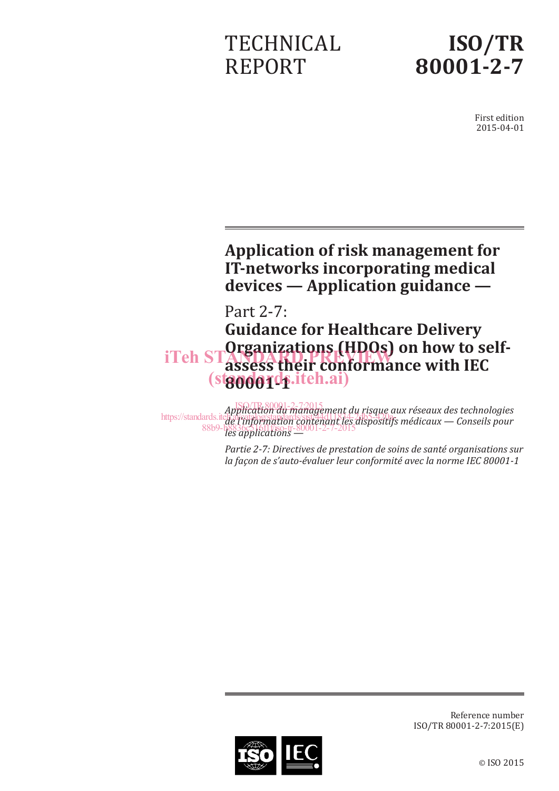# TECHNICAL REPORT



First edition 2015-04-01

# **Application of risk management for IT-networks incorporating medical devices — Application guidance —**

# Part 2-7: **Guidance for Healthcare Delivery Organizations (HDOs) on how to selfassess their conformance with IEC 80001-1** (standards.iteh.ai) iTeh STANDARD PREVIEW U

*Application du management du risque aux réseaux des technologies de l'information contenant les dispositifs médicaux — Conseils pour les applications —* 88b9-b8836c516f1f/iso-tr-80001-2-7-2015ISO/TR80001-2-7:2015 https://standards.iteh.ai/catalog/standards/sist/44d11834-2db5-420a-

> *Partie 2-7: Directives de prestation de soins de santé organisations sur la façon de s'auto-évaluer leur conformité avec la norme IEC 80001-1*



Reference number ISO/TR 80001-2-7:2015(E)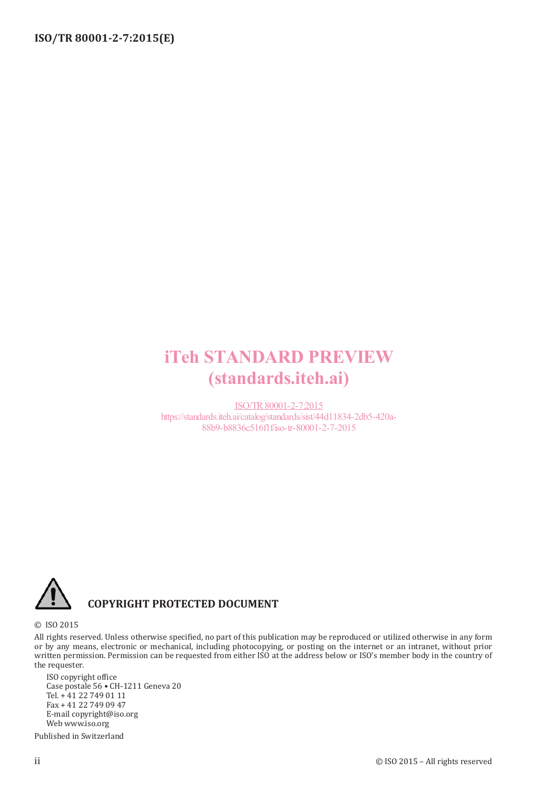# iTeh STANDARD PREVIEW (standards.iteh.ai)

ISO/TR80001-2-7:2015 https://standards.iteh.ai/catalog/standards/sist/44d11834-2db5-420a-88b9-b8836c516f1f/iso-tr-80001-2-7-2015



# **COPYRIGHT PROTECTED DOCUMENT**

© ISO 2015

All rights reserved. Unless otherwise specified, no part of this publication may be reproduced or utilized otherwise in any form or by any means, electronic or mechanical, including photocopying, or posting on the internet or an intranet, without prior written permission. Permission can be requested from either ISO at the address below or ISO's member body in the country of the requester.

ISO copyright office Case postale 56 • CH-1211 Geneva 20 Tel. + 41 22 749 01 11 Fax + 41 22 749 09 47 E-mail copyright@iso.org Web www.iso.org

Published in Switzerland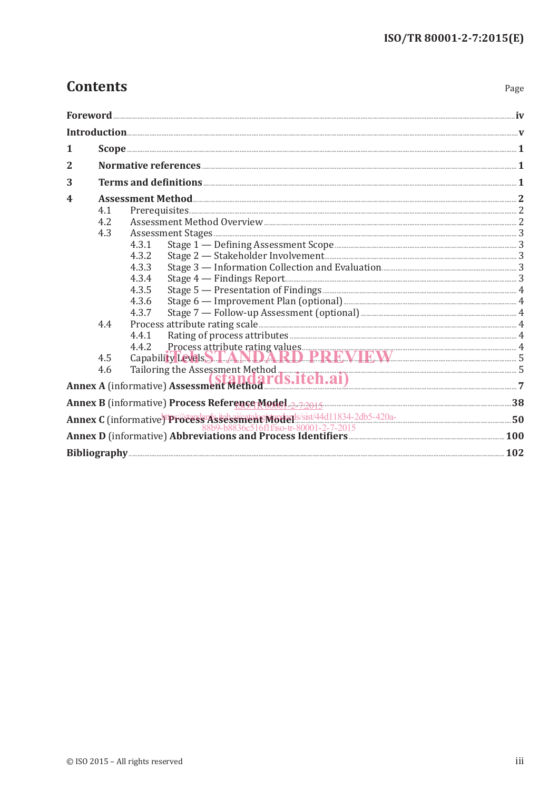# **Contents**

| . .<br>×<br>۹<br>×<br>×<br>۰, |
|-------------------------------|
|-------------------------------|

| 1            |     |                                                                                                                                                                                                                                             |  |
|--------------|-----|---------------------------------------------------------------------------------------------------------------------------------------------------------------------------------------------------------------------------------------------|--|
| $\mathbf{2}$ |     |                                                                                                                                                                                                                                             |  |
| 3            |     |                                                                                                                                                                                                                                             |  |
| 4            |     |                                                                                                                                                                                                                                             |  |
|              | 4.1 |                                                                                                                                                                                                                                             |  |
|              | 4.2 |                                                                                                                                                                                                                                             |  |
|              | 4.3 |                                                                                                                                                                                                                                             |  |
|              |     | 4.3.1                                                                                                                                                                                                                                       |  |
|              |     | 4.3.2                                                                                                                                                                                                                                       |  |
|              |     | 4.3.3                                                                                                                                                                                                                                       |  |
|              |     | 4.3.4                                                                                                                                                                                                                                       |  |
|              |     | 4.3.5                                                                                                                                                                                                                                       |  |
|              |     | 4.3.6                                                                                                                                                                                                                                       |  |
|              |     | 4.3.7                                                                                                                                                                                                                                       |  |
|              | 4.4 |                                                                                                                                                                                                                                             |  |
|              |     | 4.4.1                                                                                                                                                                                                                                       |  |
|              |     | 4.4.2 Process attribute rating values<br>Capability Levels STANDARD PRRMIEW 5                                                                                                                                                               |  |
|              | 4.5 |                                                                                                                                                                                                                                             |  |
|              |     |                                                                                                                                                                                                                                             |  |
|              |     | 4.6 Tailoring the Assessment Method<br><b>Annex A</b> (informative) Assessment Method<br><b>Annex A</b> (informative) Assessment Method<br><b>Annex A</b> (informative) Assessment Method<br><b>Annex A</b> (informative) Assessment Method |  |
|              |     |                                                                                                                                                                                                                                             |  |
|              |     |                                                                                                                                                                                                                                             |  |
|              |     | Annex C (informative) <sup>tt</sup> Process <sup>1</sup> Assessiment Myderls/sist/44d11834-2db5-420a-<br>88b9-b8836c516flf/so-tr-80001-2-7-2015<br><b>Annex D</b> (informative) Abbreviations and Process Identifiers                       |  |
|              |     | Bibliography 202                                                                                                                                                                                                                            |  |
|              |     |                                                                                                                                                                                                                                             |  |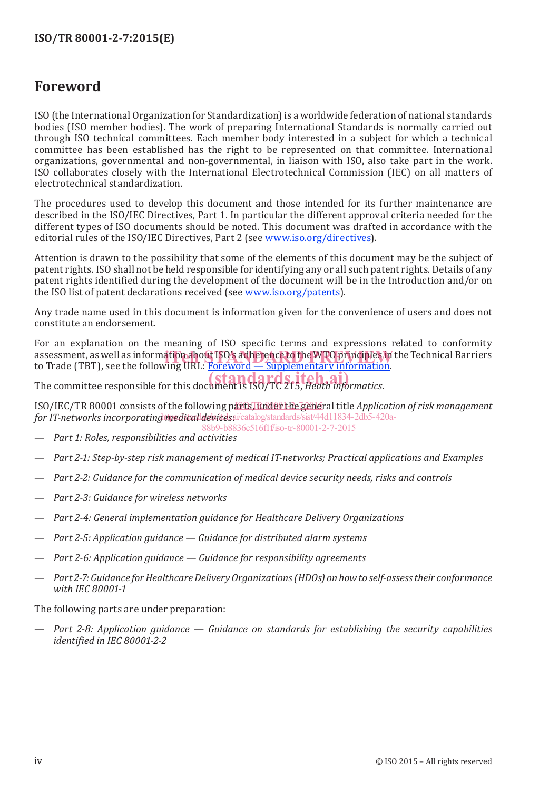# **Foreword**

ISO (the International Organization for Standardization) is a worldwide federation of national standards bodies (ISO member bodies). The work of preparing International Standards is normally carried out through ISO technical committees. Each member body interested in a subject for which a technical committee has been established has the right to be represented on that committee. International organizations, governmental and non-governmental, in liaison with ISO, also take part in the work. ISO collaborates closely with the International Electrotechnical Commission (IEC) on all matters of electrotechnical standardization.

The procedures used to develop this document and those intended for its further maintenance are described in the ISO/IEC Directives, Part 1. In particular the different approval criteria needed for the different types of ISO documents should be noted. This document was drafted in accordance with the editorial rules of the ISO/IEC Directives, Part 2 (see www.iso.org/directives).

Attention is drawn to the possibility that some of the elements of this document may be the subject of patent rights. ISO shall not be held responsible for identifying any or all such patent rights. Details of any patent rights identified during the development of the document will be in the Introduction and/or on the ISO list of patent declarations received (see www.iso.org/patents).

Any trade name used in this document is information given for the convenience of users and does not constitute an endorsement.

For an explanation on the meaning of ISO specific terms and expressions related to conformity assessment, as well as information about ISO's adherence to the WTO principles in the Technical Barriers<br>to Trade (TBT), see the following URL: Foreword — Supplementary information to Trade (TBT), see the following URL: Foreword — Supplementary information.

The committee responsible for this document is ISO/TC 215, *Heath informatics*.

ISO/IEC/TR 80001 consists of the following parts, under the general title *Application of risk management* for IT-networks incorporating medical devices ai/catalog/standards/sist/44d11834-2db5-420a-88b9-b8836c516f1f/iso-tr-80001-2-7-2015

- *Part 1: Roles, responsibilities and activities*
- *Part 2-1: Step-by-step risk management of medical IT-networks; Practical applications and Examples*
- *Part 2-2: Guidance for the communication of medical device security needs, risks and controls*
- *Part 2-3: Guidance for wireless networks*
- *Part 2-4: General implementation guidance for Healthcare Delivery Organizations*
- *Part 2-5: Application guidance Guidance for distributed alarm systems*
- *Part 2-6: Application guidance Guidance for responsibility agreements*
- *Part 2-7: Guidance for Healthcare Delivery Organizations (HDOs) on how to self-assess their conformance with IEC 80001-1*

The following parts are under preparation:

— *Part 2-8: Application guidance — Guidance on standards for establishing the security capabilities identified in IEC 80001-2-2*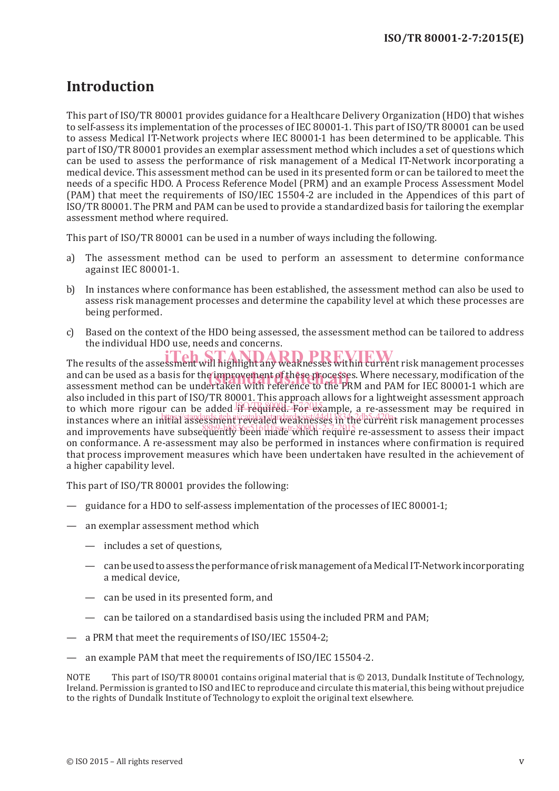# **Introduction**

This part of ISO/TR 80001 provides guidance for a Healthcare Delivery Organization (HDO) that wishes to self-assess its implementation of the processes of IEC 80001-1. This part of ISO/TR 80001 can be used to assess Medical IT-Network projects where IEC 80001-1 has been determined to be applicable. This part of ISO/TR 80001 provides an exemplar assessment method which includes a set of questions which can be used to assess the performance of risk management of a Medical IT-Network incorporating a medical device. This assessment method can be used in its presented form or can be tailored to meet the needs of a specific HDO. A Process Reference Model (PRM) and an example Process Assessment Model (PAM) that meet the requirements of ISO/IEC 15504-2 are included in the Appendices of this part of ISO/TR 80001. The PRM and PAM can be used to provide a standardized basis for tailoring the exemplar assessment method where required.

This part of ISO/TR 80001 can be used in a number of ways including the following.

- a) The assessment method can be used to perform an assessment to determine conformance against IEC 80001-1.
- b) In instances where conformance has been established, the assessment method can also be used to assess risk management processes and determine the capability level at which these processes are being performed.
- c) Based on the context of the HDO being assessed, the assessment method can be tailored to address the individual HDO use, needs and concerns.

The results of the assessment will highlight any weaknesses within current risk management processes and can be used as a basis for the improvement of these processes. Where necessary, modification of the<br>assessment method can be undertaken with reference to the PRM and PAM for IEC 80001-1 which are assessment method can be undertaken with reference to the PRM and PAM for IEC 80001-1 which are also included in this part of ISO/TR 80001. This approach allows for a lightweight assessment approach to which more rigour can be added if required. For example, a re-assessment may be required in instances where an initial assessment revealed weaknesses in the current risk management processes and improvements have subsequently been made which require re-assessment to assess their impact on conformance. A re-assessment may also be performed in instances where confirmation is required that process improvement measures which have been undertaken have resulted in the achievement of a higher capability level.

This part of ISO/TR 80001 provides the following:

- guidance for a HDO to self-assess implementation of the processes of IEC 80001-1;
- an exemplar assessment method which
	- includes a set of questions,
	- can be used to assess the performance of risk management of a Medical IT-Network incorporating a medical device,
	- can be used in its presented form, and
	- can be tailored on a standardised basis using the included PRM and PAM;
- a PRM that meet the requirements of ISO/IEC 15504-2;
- an example PAM that meet the requirements of ISO/IEC 15504-2.

NOTE This part of ISO/TR 80001 contains original material that is © 2013, Dundalk Institute of Technology, Ireland. Permission is granted to ISO and IEC to reproduce and circulate this material, this being without prejudice to the rights of Dundalk Institute of Technology to exploit the original text elsewhere.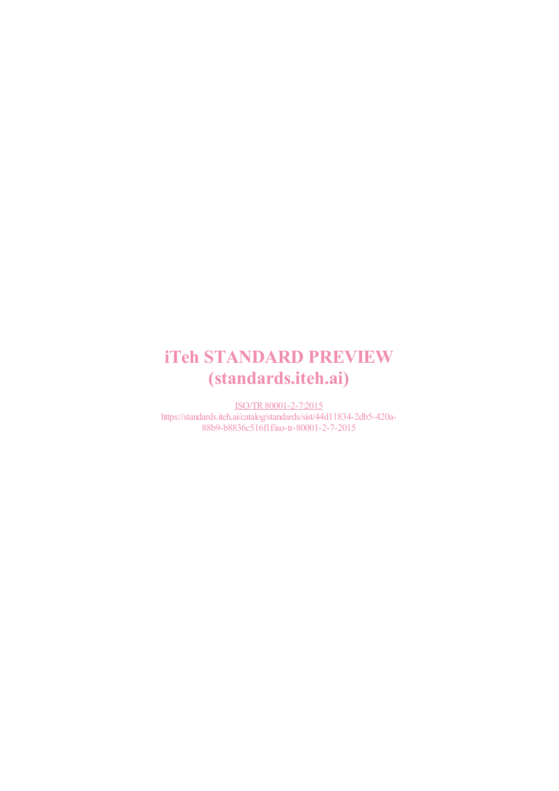# iTeh STANDARD PREVIEW (standards.iteh.ai)

ISO/TR80001-2-7:2015 https://standards.iteh.ai/catalog/standards/sist/44d11834-2db5-420a-88b9-b8836c516f1f/iso-tr-80001-2-7-2015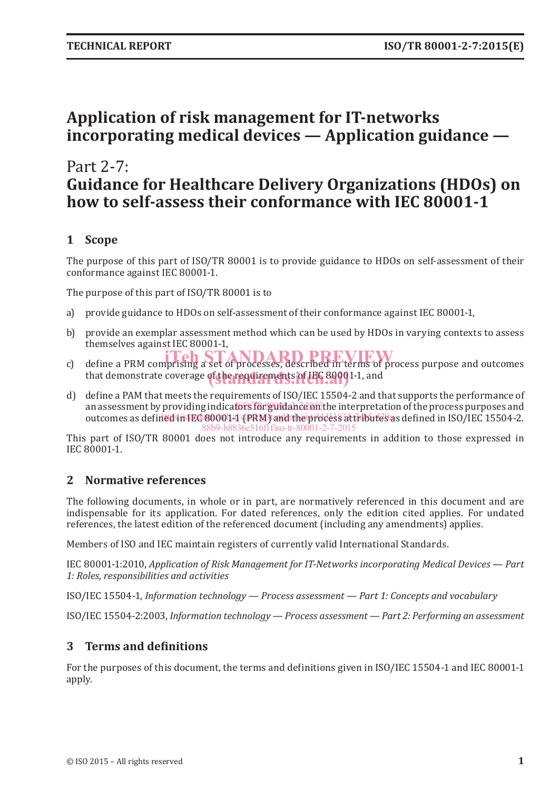# **Application of risk management for IT-networks incorporating medical devices — Application guidance —**

# Part 2-7: **Guidance for Healthcare Delivery Organizations (HDOs) on how to self-assess their conformance with IEC 80001-1**

## **1 Scope**

The purpose of this part of ISO/TR 80001 is to provide guidance to HDOs on self-assessment of their conformance against IEC 80001-1.

The purpose of this part of ISO/TR 80001 is to

- a) provide guidance to HDOs on self-assessment of their conformance against IEC 80001-1,
- b) provide an exemplar assessment method which can be used by HDOs in varying contexts to assess themselves against IEC 80001-1,
- c) define a PRM comprising a set of processes, described in terms of process purpose and outcomes that demonstrate coverage of the requirements of LEC 89001-1, and
- d) define a PAM that meets the requirements of ISO/IEC 15504-2 and that supports the performance of an assessment by providing indicators for guidance on the interpretation of the process purposes and outcomes as defined in IEC 80001-1 (PRM) and the process attributes as defined in ISO/IEC 15504-2. 88b9-b8836c516f1f/iso-tr-80001-2-7-2015

This part of ISO/TR 80001 does not introduce any requirements in addition to those expressed in IEC 80001-1.

## **2 Normative references**

The following documents, in whole or in part, are normatively referenced in this document and are indispensable for its application. For dated references, only the edition cited applies. For undated references, the latest edition of the referenced document (including any amendments) applies.

Members of ISO and IEC maintain registers of currently valid International Standards.

IEC 80001-1:2010, *Application of Risk Management for IT-Networks incorporating Medical Devices — Part 1: Roles, responsibilities and activities*

ISO/IEC 15504-1, *Information technology — Process assessment — Part 1: Concepts and vocabulary*

ISO/IEC 15504-2:2003, *Information technology — Process assessment — Part 2: Performing an assessment*

## **3 Terms and definitions**

For the purposes of this document, the terms and definitions given in ISO/IEC 15504-1 and IEC 80001-1 apply.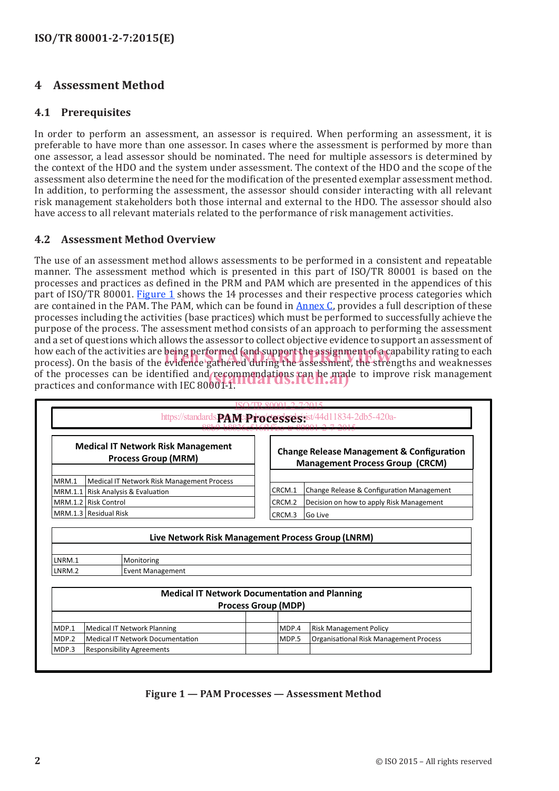## **4 Assessment Method**

#### **4.1 Prerequisites**

In order to perform an assessment, an assessor is required. When performing an assessment, it is preferable to have more than one assessor. In cases where the assessment is performed by more than one assessor, a lead assessor should be nominated. The need for multiple assessors is determined by the context of the HDO and the system under assessment. The context of the HDO and the scope of the assessment also determine the need for the modification of the presented exemplar assessment method. In addition, to performing the assessment, the assessor should consider interacting with all relevant risk management stakeholders both those internal and external to the HDO. The assessor should also have access to all relevant materials related to the performance of risk management activities.

#### **4.2 Assessment Method Overview**

The use of an assessment method allows assessments to be performed in a consistent and repeatable manner. The assessment method which is presented in this part of ISO/TR 80001 is based on the processes and practices as defined in the PRM and PAM which are presented in the appendices of this part of ISO/TR 80001. Figure 1 shows the 14 processes and their respective process categories which are contained in the PAM. The PAM, which can be found in Annex C, provides a full description of these processes including the activities (base practices) which must be performed to successfully achieve the purpose of the process. The assessment method consists of an approach to performing the assessment and a set of questions which allows the assessor to collect objective evidence to support an assessment of how each of the activities are being performed (and support the assignment of a capability rating to each how each of the activities are being performed (and support the assignment of a capability rating to each<br>process). On the basis of the evidence gathered during the assessment, the strengths and weaknesses of the processes can be identified and recommendations can be made to improve risk management<br>practices and conformance with IEC 80001-1. practices and conformance with IEC 80001-1.

|                  |                                                                               |                            | https://standards. <b>PA.McProcesses</b> sesist/44d11834-2db5-420a-                            |
|------------------|-------------------------------------------------------------------------------|----------------------------|------------------------------------------------------------------------------------------------|
|                  | <b>Medical IT Network Risk Management</b><br><b>Process Group (MRM)</b>       |                            | <b>Change Release Management &amp; Configuration</b><br><b>Management Process Group (CRCM)</b> |
| MRM.1            | Medical IT Network Risk Management Process                                    |                            |                                                                                                |
| MRM.1.1          | Risk Analysis & Evaluation                                                    | CRCM.1                     | Change Release & Configuration Management                                                      |
|                  | MRM.1.2 Risk Control                                                          |                            | Decision on how to apply Risk Management                                                       |
|                  | MRM.1.3 Residual Risk                                                         | CRCM.3                     | Go Live                                                                                        |
|                  | Live Network Risk Management Process Group (LNRM)                             |                            |                                                                                                |
|                  |                                                                               |                            |                                                                                                |
| LNRM.1<br>LNRM.2 | Monitoring<br><b>Event Management</b>                                         |                            |                                                                                                |
|                  | <b>Medical IT Network Documentation and Planning</b>                          | <b>Process Group (MDP)</b> |                                                                                                |
|                  |                                                                               |                            |                                                                                                |
| MDP.1<br>MDP.2   | <b>Medical IT Network Planning</b><br><b>Medical IT Network Documentation</b> | MDP.4<br>MDP.5             | <b>Risk Management Policy</b><br><b>Organisational Risk Management Process</b>                 |

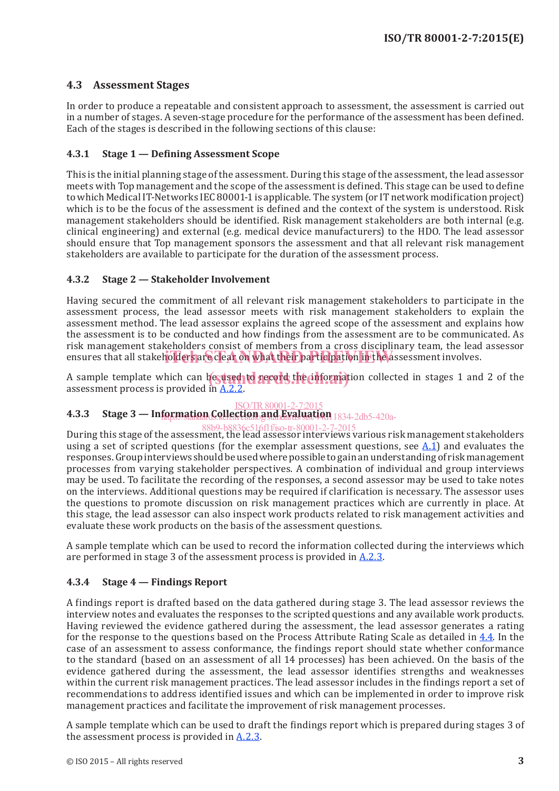### **4.3 Assessment Stages**

In order to produce a repeatable and consistent approach to assessment, the assessment is carried out in a number of stages. A seven-stage procedure for the performance of the assessment has been defined. Each of the stages is described in the following sections of this clause:

#### **4.3.1 Stage 1 — Defining Assessment Scope**

This is the initial planning stage of the assessment. During this stage of the assessment, the lead assessor meets with Top management and the scope of the assessment is defined. This stage can be used to define to which Medical IT-Networks IEC 80001-1 is applicable. The system (or IT network modification project) which is to be the focus of the assessment is defined and the context of the system is understood. Risk management stakeholders should be identified. Risk management stakeholders are both internal (e.g. clinical engineering) and external (e.g. medical device manufacturers) to the HDO. The lead assessor should ensure that Top management sponsors the assessment and that all relevant risk management stakeholders are available to participate for the duration of the assessment process.

#### **4.3.2 Stage 2 — Stakeholder Involvement**

Having secured the commitment of all relevant risk management stakeholders to participate in the assessment process, the lead assessor meets with risk management stakeholders to explain the assessment method. The lead assessor explains the agreed scope of the assessment and explains how the assessment is to be conducted and how findings from the assessment are to be communicated. As risk management stakeholders consist of members from a cross disciplinary team, the lead assessor ensures that all stakeholders are clear on what their participation in the assessment involves.

A sample template which can be used to record the information collected in stages 1 and 2 of the assessment process is provided in  $\Lambda$  2.2 assessment process is provided in A.2.2.

#### ISO/TR 80001-2-7:201:

### **4.3.3 Stage 3 — Information Collection and Evaluation** 1834-2db5-420a-

During this stage of the assessment, the lead assessor interviews various risk management stakeholders using a set of scripted questions (for the exemplar assessment questions, see  $A.1$ ) and evaluates the responses. Group interviews should be used where possible to gain an understanding of risk management processes from varying stakeholder perspectives. A combination of individual and group interviews may be used. To facilitate the recording of the responses, a second assessor may be used to take notes on the interviews. Additional questions may be required if clarification is necessary. The assessor uses the questions to promote discussion on risk management practices which are currently in place. At this stage, the lead assessor can also inspect work products related to risk management activities and evaluate these work products on the basis of the assessment questions. 88b9-b8836c516f1f/iso-tr-80001-2-7-2015

A sample template which can be used to record the information collected during the interviews which are performed in stage 3 of the assessment process is provided in  $A.2.3$ .

#### **4.3.4 Stage 4 — Findings Report**

A findings report is drafted based on the data gathered during stage 3. The lead assessor reviews the interview notes and evaluates the responses to the scripted questions and any available work products. Having reviewed the evidence gathered during the assessment, the lead assessor generates a rating for the response to the questions based on the Process Attribute Rating Scale as detailed in 4.4. In the case of an assessment to assess conformance, the findings report should state whether conformance to the standard (based on an assessment of all 14 processes) has been achieved. On the basis of the evidence gathered during the assessment, the lead assessor identifies strengths and weaknesses within the current risk management practices. The lead assessor includes in the findings report a set of recommendations to address identified issues and which can be implemented in order to improve risk management practices and facilitate the improvement of risk management processes.

A sample template which can be used to draft the findings report which is prepared during stages 3 of the assessment process is provided in A.2.3.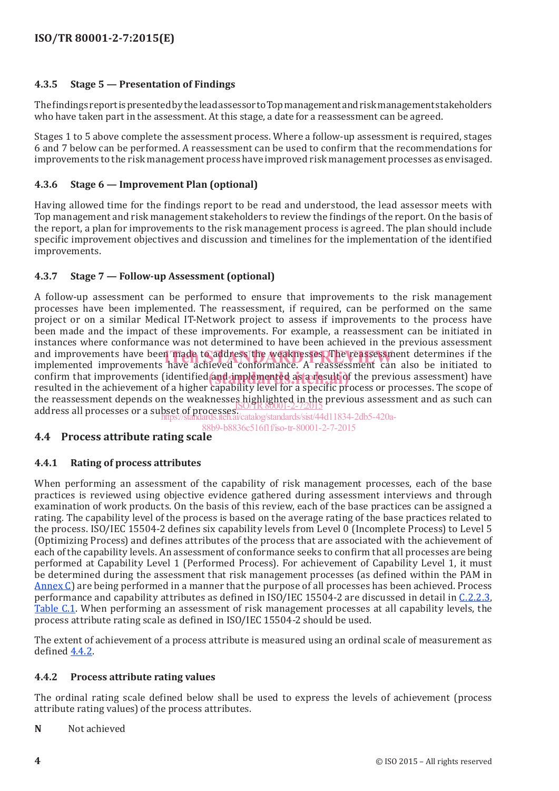### **4.3.5 Stage 5 — Presentation of Findings**

The findings report is presented by the lead assessor to Top management and risk management stakeholders who have taken part in the assessment. At this stage, a date for a reassessment can be agreed.

Stages 1 to 5 above complete the assessment process. Where a follow-up assessment is required, stages 6 and 7 below can be performed. A reassessment can be used to confirm that the recommendations for improvements to the risk management process have improved risk management processes as envisaged.

#### **4.3.6 Stage 6 — Improvement Plan (optional)**

Having allowed time for the findings report to be read and understood, the lead assessor meets with Top management and risk management stakeholders to review the findings of the report. On the basis of the report, a plan for improvements to the risk management process is agreed. The plan should include specific improvement objectives and discussion and timelines for the implementation of the identified improvements.

### **4.3.7 Stage 7 — Follow-up Assessment (optional)**

A follow-up assessment can be performed to ensure that improvements to the risk management processes have been implemented. The reassessment, if required, can be performed on the same project or on a similar Medical IT-Network project to assess if improvements to the process have been made and the impact of these improvements. For example, a reassessment can be initiated in instances where conformance was not determined to have been achieved in the previous assessment and improvements have been made to address the weaknesses. The reassessment determines if the imitiated to improvements have achieved conformance. A reassessment can also be initiated to implemented improvements have achieved conformance. A reassessment can also be initiated to confirm that improvements (identified and implemented as a result of the previous assessment) have resulted in the achievement of a higher canability level for a specific process or processes. The scope of resulted in the achievement of a higher capability level for a specific process or processes. The scope of the reassessment depends on the weaknesses highlighted in the previous assessment and as such can address all processes or a subset of processes.<br>address all processes or a subset of processes.

https://standards.iteh.ai/catalog/standards/sist/44d11834-2db5-420a-

88b9-b8836c516f1f/iso-tr-80001-2-7-2015

### **4.4 Process attribute rating scale**

#### **4.4.1 Rating of process attributes**

When performing an assessment of the capability of risk management processes, each of the base practices is reviewed using objective evidence gathered during assessment interviews and through examination of work products. On the basis of this review, each of the base practices can be assigned a rating. The capability level of the process is based on the average rating of the base practices related to the process. ISO/IEC 15504-2 defines six capability levels from Level 0 (Incomplete Process) to Level 5 (Optimizing Process) and defines attributes of the process that are associated with the achievement of each of the capability levels. An assessment of conformance seeks to confirm that all processes are being performed at Capability Level 1 (Performed Process). For achievement of Capability Level 1, it must be determined during the assessment that risk management processes (as defined within the PAM in Annex C) are being performed in a manner that the purpose of all processes has been achieved. Process performance and capability attributes as defined in ISO/IEC 15504-2 are discussed in detail in C.2.2.3, Table C.1. When performing an assessment of risk management processes at all capability levels, the process attribute rating scale as defined in ISO/IEC 15504-2 should be used.

The extent of achievement of a process attribute is measured using an ordinal scale of measurement as defined 4.4.2.

#### **4.4.2 Process attribute rating values**

The ordinal rating scale defined below shall be used to express the levels of achievement (process attribute rating values) of the process attributes.

**N** Not achieved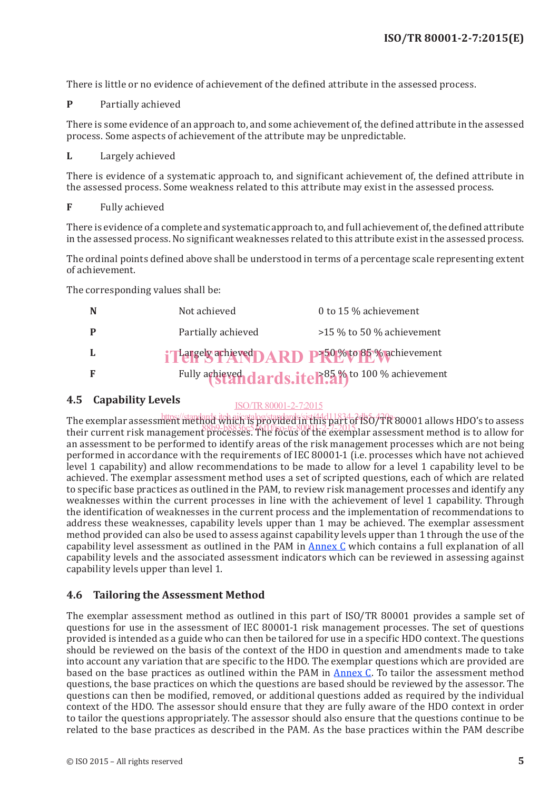There is little or no evidence of achievement of the defined attribute in the assessed process.

**P** Partially achieved

There is some evidence of an approach to, and some achievement of, the defined attribute in the assessed process. Some aspects of achievement of the attribute may be unpredictable.

**L** Largely achieved

There is evidence of a systematic approach to, and significant achievement of, the defined attribute in the assessed process. Some weakness related to this attribute may exist in the assessed process.

**F** Fully achieved

There is evidence of a complete and systematic approach to, and full achievement of, the defined attribute in the assessed process. No significant weaknesses related to this attribute exist in the assessed process.

The ordinal points defined above shall be understood in terms of a percentage scale representing extent of achievement.

The corresponding values shall be:

| N  | 0 to 15 % achievement<br>Not achieved                        |
|----|--------------------------------------------------------------|
|    | $>15\%$ to 50 % achievement<br>Partially achieved            |
|    | i Targely achieved DARD P <sup>50</sup> % to 85% achievement |
| -F | Fully achieved dards.itel?85% to 100 % achievement           |

#### **4.5 Capability Levels** ISO/TR80001-2-7:2015

The exemplar assessment methods iteh.ai/catalog/standards/sist/44d11834-2dd50/7R 80001 allows HDO's to assess their current risk management processes. The focus of the exemplar assessment method is to allow for their current risk management processes. an assessment to be performed to identify areas of the risk management processes which are not being performed in accordance with the requirements of IEC 80001-1 (i.e. processes which have not achieved level 1 capability) and allow recommendations to be made to allow for a level 1 capability level to be achieved. The exemplar assessment method uses a set of scripted questions, each of which are related to specific base practices as outlined in the PAM, to review risk management processes and identify any weaknesses within the current processes in line with the achievement of level 1 capability. Through the identification of weaknesses in the current process and the implementation of recommendations to address these weaknesses, capability levels upper than 1 may be achieved. The exemplar assessment method provided can also be used to assess against capability levels upper than 1 through the use of the capability level assessment as outlined in the PAM in Annex C which contains a full explanation of all capability levels and the associated assessment indicators which can be reviewed in assessing against capability levels upper than level 1.

#### **4.6 Tailoring the Assessment Method**

The exemplar assessment method as outlined in this part of ISO/TR 80001 provides a sample set of questions for use in the assessment of IEC 80001-1 risk management processes. The set of questions provided is intended as a guide who can then be tailored for use in a specific HDO context. The questions should be reviewed on the basis of the context of the HDO in question and amendments made to take into account any variation that are specific to the HDO. The exemplar questions which are provided are based on the base practices as outlined within the PAM in **Annex C**. To tailor the assessment method questions, the base practices on which the questions are based should be reviewed by the assessor. The questions can then be modified, removed, or additional questions added as required by the individual context of the HDO. The assessor should ensure that they are fully aware of the HDO context in order to tailor the questions appropriately. The assessor should also ensure that the questions continue to be related to the base practices as described in the PAM. As the base practices within the PAM describe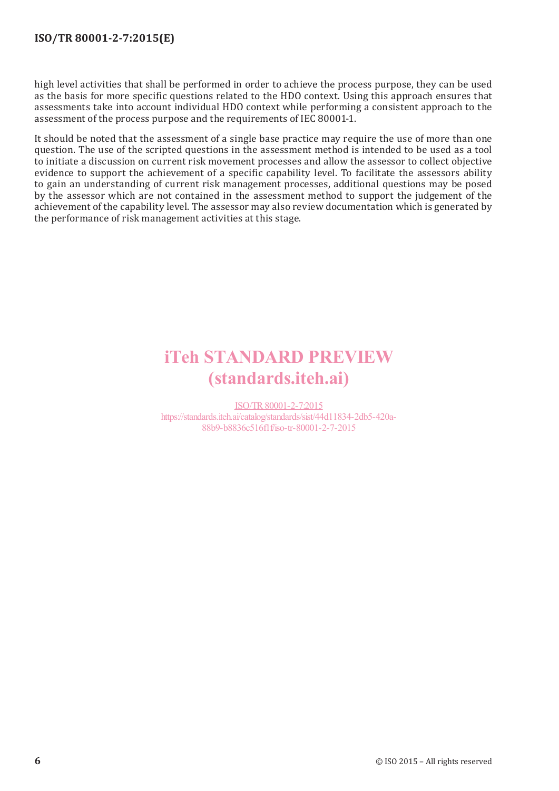### **ISO/TR 80001-2-7:2015(E)**

high level activities that shall be performed in order to achieve the process purpose, they can be used as the basis for more specific questions related to the HDO context. Using this approach ensures that assessments take into account individual HDO context while performing a consistent approach to the assessment of the process purpose and the requirements of IEC 80001-1.

It should be noted that the assessment of a single base practice may require the use of more than one question. The use of the scripted questions in the assessment method is intended to be used as a tool to initiate a discussion on current risk movement processes and allow the assessor to collect objective evidence to support the achievement of a specific capability level. To facilitate the assessors ability to gain an understanding of current risk management processes, additional questions may be posed by the assessor which are not contained in the assessment method to support the judgement of the achievement of the capability level. The assessor may also review documentation which is generated by the performance of risk management activities at this stage.

# iTeh STANDARD PREVIEW (standards.iteh.ai)

ISO/TR80001-2-7:2015 https://standards.iteh.ai/catalog/standards/sist/44d11834-2db5-420a-88b9-b8836c516f1f/iso-tr-80001-2-7-2015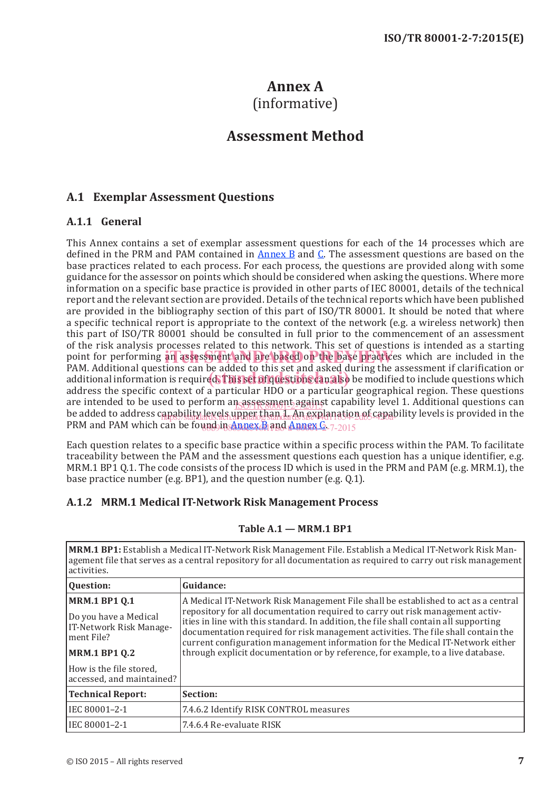# **Annex A**  (informative)

# **Assessment Method**

### **A.1 Exemplar Assessment Questions**

#### **A.1.1 General**

This Annex contains a set of exemplar assessment questions for each of the 14 processes which are defined in the PRM and PAM contained in  $\Delta$ nnex  $\overline{B}$  and  $\overline{C}$ . The assessment questions are based on the base practices related to each process. For each process, the questions are provided along with some guidance for the assessor on points which should be considered when asking the questions. Where more information on a specific base practice is provided in other parts of IEC 80001, details of the technical report and the relevant section are provided. Details of the technical reports which have been published are provided in the bibliography section of this part of ISO/TR 80001. It should be noted that where a specific technical report is appropriate to the context of the network (e.g. a wireless network) then this part of ISO/TR 80001 should be consulted in full prior to the commencement of an assessment of the risk analysis processes related to this network. This set of questions is intended as a starting point for performing an assessment and are based on the base practices which are included in the DAM Additional questions can be added to this set and asked during the assessment if elections or PAM. Additional questions can be added to this set and asked during the assessment if clarification or additional information is required. This set and asked during the assessment in clarification of additional information is required. This set all questions can also be modified to include questions which address the specific context of a particular HDO or a particular geographical region. These questions are intended to be used to perform an assessment against capability level 1. Additional questions can be a str be added to address capability levels upper than 1. An explanation of capability levels is provided in the the PRM and PAM which can be found in Annex B and Annex C-7-2015

Each question relates to a specific base practice within a specific process within the PAM. To facilitate traceability between the PAM and the assessment questions each question has a unique identifier, e.g. MRM.1 BP1 Q.1. The code consists of the process ID which is used in the PRM and PAM (e.g. MRM.1), the base practice number (e.g. BP1), and the question number (e.g. Q.1).

### **A.1.2 MRM.1 Medical IT-Network Risk Management Process**

#### **Table A.1 — MRM.1 BP1**

**MRM.1 BP1:** Establish a Medical IT-Network Risk Management File. Establish a Medical IT-Network Risk Management file that serves as a central repository for all documentation as required to carry out risk management activities.

| Question:                                                                                                       | Guidance:                                                                                                                                                                                                                                                                                                                                                                                                                                                                                                              |
|-----------------------------------------------------------------------------------------------------------------|------------------------------------------------------------------------------------------------------------------------------------------------------------------------------------------------------------------------------------------------------------------------------------------------------------------------------------------------------------------------------------------------------------------------------------------------------------------------------------------------------------------------|
| <b>MRM.1 BP1 Q.1</b><br>Do you have a Medical<br>IT-Network Risk Manage-<br>lment File?<br><b>MRM.1 BP1 Q.2</b> | A Medical IT-Network Risk Management File shall be established to act as a central<br>repository for all documentation required to carry out risk management activ-<br>ities in line with this standard. In addition, the file shall contain all supporting<br>documentation required for risk management activities. The file shall contain the<br>current configuration management information for the Medical IT-Network either<br>through explicit documentation or by reference, for example, to a live database. |
| How is the file stored,<br>accessed, and maintained?                                                            |                                                                                                                                                                                                                                                                                                                                                                                                                                                                                                                        |
| <b>Technical Report:</b>                                                                                        | Section:                                                                                                                                                                                                                                                                                                                                                                                                                                                                                                               |
| IEC 80001-2-1                                                                                                   | 7.4.6.2 Identify RISK CONTROL measures                                                                                                                                                                                                                                                                                                                                                                                                                                                                                 |
| IIEC 80001-2-1                                                                                                  | 7.4.6.4 Re-evaluate RISK                                                                                                                                                                                                                                                                                                                                                                                                                                                                                               |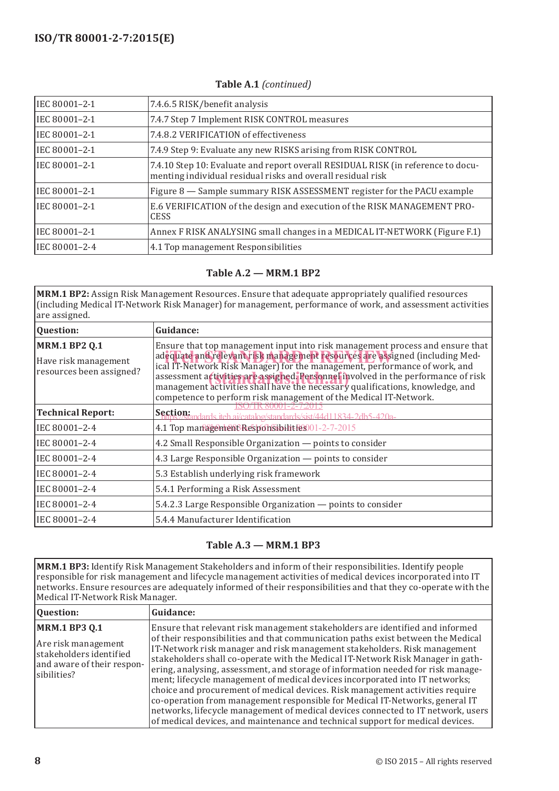| IEC 80001-2-1 | 7.4.6.5 RISK/benefit analysis                                                                                                                   |
|---------------|-------------------------------------------------------------------------------------------------------------------------------------------------|
| IEC 80001-2-1 | 7.4.7 Step 7 Implement RISK CONTROL measures                                                                                                    |
| IEC 80001-2-1 | 7.4.8.2 VERIFICATION of effectiveness                                                                                                           |
| IEC 80001-2-1 | 7.4.9 Step 9: Evaluate any new RISKS arising from RISK CONTROL                                                                                  |
| IEC 80001-2-1 | 7.4.10 Step 10: Evaluate and report overall RESIDUAL RISK (in reference to docu-<br>menting individual residual risks and overall residual risk |
| IEC 80001-2-1 | Figure 8 - Sample summary RISK ASSESSMENT register for the PACU example                                                                         |
| IEC 80001-2-1 | E.6 VERIFICATION of the design and execution of the RISK MANAGEMENT PRO-<br><b>CESS</b>                                                         |
| IEC 80001-2-1 | Annex F RISK ANALYSING small changes in a MEDICAL IT-NETWORK (Figure F.1)                                                                       |
| IEC 80001-2-4 | 4.1 Top management Responsibilities                                                                                                             |

**Table A.1** *(continued)*

#### **Table A.2 — MRM.1 BP2**

**MRM.1 BP2:** Assign Risk Management Resources. Ensure that adequate appropriately qualified resources (including Medical IT-Network Risk Manager) for management, performance of work, and assessment activities are assigned.

| <b>Question:</b>                                                         | Guidance:                                                                                                                                                                                                                                                                                                                                                                                                                                                                             |
|--------------------------------------------------------------------------|---------------------------------------------------------------------------------------------------------------------------------------------------------------------------------------------------------------------------------------------------------------------------------------------------------------------------------------------------------------------------------------------------------------------------------------------------------------------------------------|
| <b>MRM.1 BP2 Q.1</b><br>Have risk management<br>resources been assigned? | Ensure that top management input into risk management process and ensure that<br>adequate and relevant risk management resources are assigned (including Med-<br>ical IT-Network Risk Manager) for the management, performance of work, and<br>assessment activities are assigned. Personnel involved in the performance of risk<br>management activities shall have the necessary qualifications, knowledge, and<br>competence to perform risk management of the Medical IT-Network. |
| <b>Technical Report:</b>                                                 | 80001-2-7201<br>Section: <i>Section: stehalcatalog/standards/sist/44d11834-2db5-420a-</i>                                                                                                                                                                                                                                                                                                                                                                                             |
| IEC 80001-2-4                                                            | 4.1 Top management Responsibilities 001-2-7-2015                                                                                                                                                                                                                                                                                                                                                                                                                                      |
| IEC 80001-2-4                                                            | 4.2 Small Responsible Organization - points to consider                                                                                                                                                                                                                                                                                                                                                                                                                               |
| IEC 80001-2-4                                                            | 4.3 Large Responsible Organization — points to consider                                                                                                                                                                                                                                                                                                                                                                                                                               |
| IEC 80001-2-4                                                            | 5.3 Establish underlying risk framework                                                                                                                                                                                                                                                                                                                                                                                                                                               |
| IEC 80001-2-4                                                            | 5.4.1 Performing a Risk Assessment                                                                                                                                                                                                                                                                                                                                                                                                                                                    |
| IEC 80001-2-4                                                            | 5.4.2.3 Large Responsible Organization — points to consider                                                                                                                                                                                                                                                                                                                                                                                                                           |
| IEC 80001-2-4                                                            | 5.4.4 Manufacturer Identification                                                                                                                                                                                                                                                                                                                                                                                                                                                     |

#### **Table A.3 — MRM.1 BP3**

**MRM.1 BP3:** Identify Risk Management Stakeholders and inform of their responsibilities. Identify people responsible for risk management and lifecycle management activities of medical devices incorporated into IT networks. Ensure resources are adequately informed of their responsibilities and that they co-operate with the Medical IT-Network Risk Manager.

| Question:                                                                                                           | Guidance:                                                                                                                                                                                                                                                                                                                                                                                                                                                                                                                                                                                                                                                                                                                                                                                                                                    |
|---------------------------------------------------------------------------------------------------------------------|----------------------------------------------------------------------------------------------------------------------------------------------------------------------------------------------------------------------------------------------------------------------------------------------------------------------------------------------------------------------------------------------------------------------------------------------------------------------------------------------------------------------------------------------------------------------------------------------------------------------------------------------------------------------------------------------------------------------------------------------------------------------------------------------------------------------------------------------|
| <b>MRM.1 BP3 Q.1</b><br>Are risk management<br>stakeholders identified<br>and aware of their respon-<br>sibilities? | Ensure that relevant risk management stakeholders are identified and informed<br>of their responsibilities and that communication paths exist between the Medical<br>IT-Network risk manager and risk management stakeholders. Risk management<br>stakeholders shall co-operate with the Medical IT-Network Risk Manager in gath-<br>ering, analysing, assessment, and storage of information needed for risk manage-<br>ment; lifecycle management of medical devices incorporated into IT networks;<br>choice and procurement of medical devices. Risk management activities require<br>co-operation from management responsible for Medical IT-Networks, general IT<br>networks, lifecycle management of medical devices connected to IT network, users<br>of medical devices, and maintenance and technical support for medical devices. |